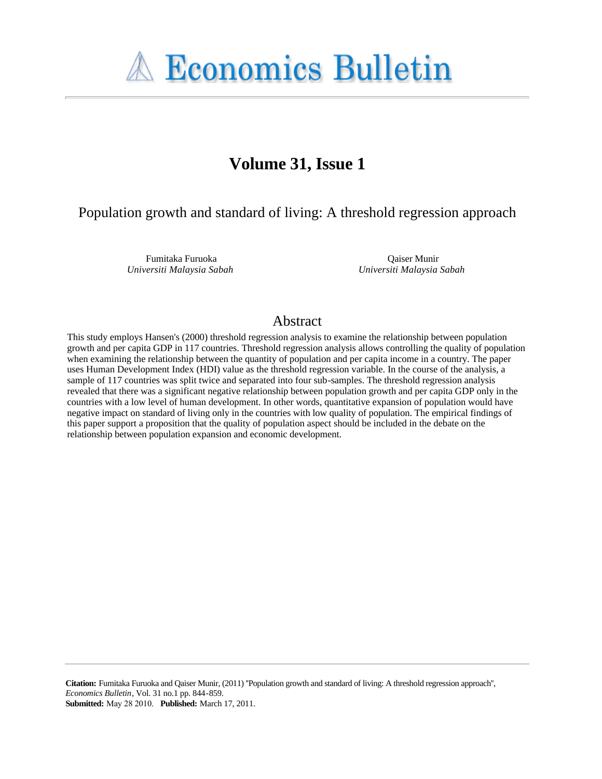

# **Volume 31, Issue 1**

### Population growth and standard of living: A threshold regression approach

Fumitaka Furuoka *Universiti Malaysia Sabah*

Qaiser Munir *Universiti Malaysia Sabah*

### Abstract

This study employs Hansen's (2000) threshold regression analysis to examine the relationship between population growth and per capita GDP in 117 countries. Threshold regression analysis allows controlling the quality of population when examining the relationship between the quantity of population and per capita income in a country. The paper uses Human Development Index (HDI) value as the threshold regression variable. In the course of the analysis, a sample of 117 countries was split twice and separated into four sub-samples. The threshold regression analysis revealed that there was a significant negative relationship between population growth and per capita GDP only in the countries with a low level of human development. In other words, quantitative expansion of population would have negative impact on standard of living only in the countries with low quality of population. The empirical findings of this paper support a proposition that the quality of population aspect should be included in the debate on the relationship between population expansion and economic development.

**Citation:** Fumitaka Furuoka and Qaiser Munir, (2011) ''Population growth and standard of living: A threshold regression approach'', *Economics Bulletin*, Vol. 31 no.1 pp. 844-859.

**Submitted:** May 28 2010. **Published:** March 17, 2011.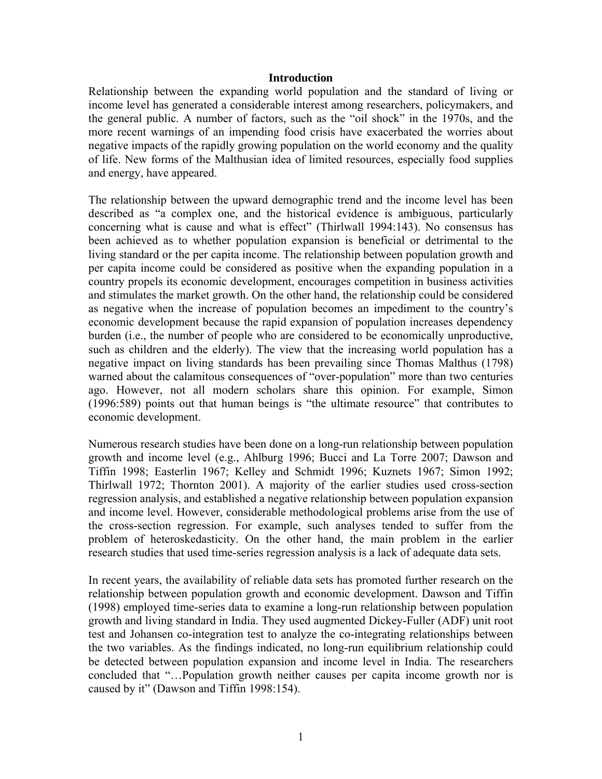#### **Introduction**

Relationship between the expanding world population and the standard of living or income level has generated a considerable interest among researchers, policymakers, and the general public. A number of factors, such as the "oil shock" in the 1970s, and the more recent warnings of an impending food crisis have exacerbated the worries about negative impacts of the rapidly growing population on the world economy and the quality of life. New forms of the Malthusian idea of limited resources, especially food supplies and energy, have appeared.

The relationship between the upward demographic trend and the income level has been described as "a complex one, and the historical evidence is ambiguous, particularly concerning what is cause and what is effect" (Thirlwall 1994:143). No consensus has been achieved as to whether population expansion is beneficial or detrimental to the living standard or the per capita income. The relationship between population growth and per capita income could be considered as positive when the expanding population in a country propels its economic development, encourages competition in business activities and stimulates the market growth. On the other hand, the relationship could be considered as negative when the increase of population becomes an impediment to the country's economic development because the rapid expansion of population increases dependency burden (i.e., the number of people who are considered to be economically unproductive, such as children and the elderly). The view that the increasing world population has a negative impact on living standards has been prevailing since Thomas Malthus (1798) warned about the calamitous consequences of "over-population" more than two centuries ago. However, not all modern scholars share this opinion. For example, Simon (1996:589) points out that human beings is "the ultimate resource" that contributes to economic development.

Numerous research studies have been done on a long-run relationship between population growth and income level (e.g., Ahlburg 1996; Bucci and La Torre 2007; Dawson and Tiffin 1998; Easterlin 1967; Kelley and Schmidt 1996; Kuznets 1967; Simon 1992; Thirlwall 1972; Thornton 2001). A majority of the earlier studies used cross-section regression analysis, and established a negative relationship between population expansion and income level. However, considerable methodological problems arise from the use of the cross-section regression. For example, such analyses tended to suffer from the problem of heteroskedasticity. On the other hand, the main problem in the earlier research studies that used time-series regression analysis is a lack of adequate data sets.

In recent years, the availability of reliable data sets has promoted further research on the relationship between population growth and economic development. Dawson and Tiffin (1998) employed time-series data to examine a long-run relationship between population growth and living standard in India. They used augmented Dickey-Fuller (ADF) unit root test and Johansen co-integration test to analyze the co-integrating relationships between the two variables. As the findings indicated, no long-run equilibrium relationship could be detected between population expansion and income level in India. The researchers concluded that "…Population growth neither causes per capita income growth nor is caused by it" (Dawson and Tiffin 1998:154).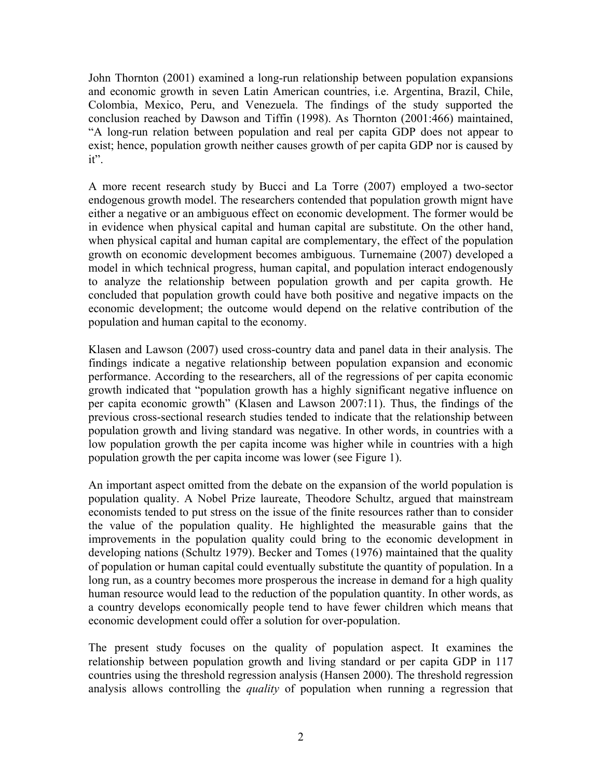John Thornton (2001) examined a long-run relationship between population expansions and economic growth in seven Latin American countries, i.e. Argentina, Brazil, Chile, Colombia, Mexico, Peru, and Venezuela. The findings of the study supported the conclusion reached by Dawson and Tiffin (1998). As Thornton (2001:466) maintained, "A long-run relation between population and real per capita GDP does not appear to exist; hence, population growth neither causes growth of per capita GDP nor is caused by it".

A more recent research study by Bucci and La Torre (2007) employed a two-sector endogenous growth model. The researchers contended that population growth mignt have either a negative or an ambiguous effect on economic development. The former would be in evidence when physical capital and human capital are substitute. On the other hand, when physical capital and human capital are complementary, the effect of the population growth on economic development becomes ambiguous. Turnemaine (2007) developed a model in which technical progress, human capital, and population interact endogenously to analyze the relationship between population growth and per capita growth. He concluded that population growth could have both positive and negative impacts on the economic development; the outcome would depend on the relative contribution of the population and human capital to the economy.

Klasen and Lawson (2007) used cross-country data and panel data in their analysis. The findings indicate a negative relationship between population expansion and economic performance. According to the researchers, all of the regressions of per capita economic growth indicated that "population growth has a highly significant negative influence on per capita economic growth" (Klasen and Lawson 2007:11). Thus, the findings of the previous cross-sectional research studies tended to indicate that the relationship between population growth and living standard was negative. In other words, in countries with a low population growth the per capita income was higher while in countries with a high population growth the per capita income was lower (see Figure 1).

An important aspect omitted from the debate on the expansion of the world population is population quality. A Nobel Prize laureate, Theodore Schultz, argued that mainstream economists tended to put stress on the issue of the finite resources rather than to consider the value of the population quality. He highlighted the measurable gains that the improvements in the population quality could bring to the economic development in developing nations (Schultz 1979). Becker and Tomes (1976) maintained that the quality of population or human capital could eventually substitute the quantity of population. In a long run, as a country becomes more prosperous the increase in demand for a high quality human resource would lead to the reduction of the population quantity. In other words, as a country develops economically people tend to have fewer children which means that economic development could offer a solution for over-population.

The present study focuses on the quality of population aspect. It examines the relationship between population growth and living standard or per capita GDP in 117 countries using the threshold regression analysis (Hansen 2000). The threshold regression analysis allows controlling the *quality* of population when running a regression that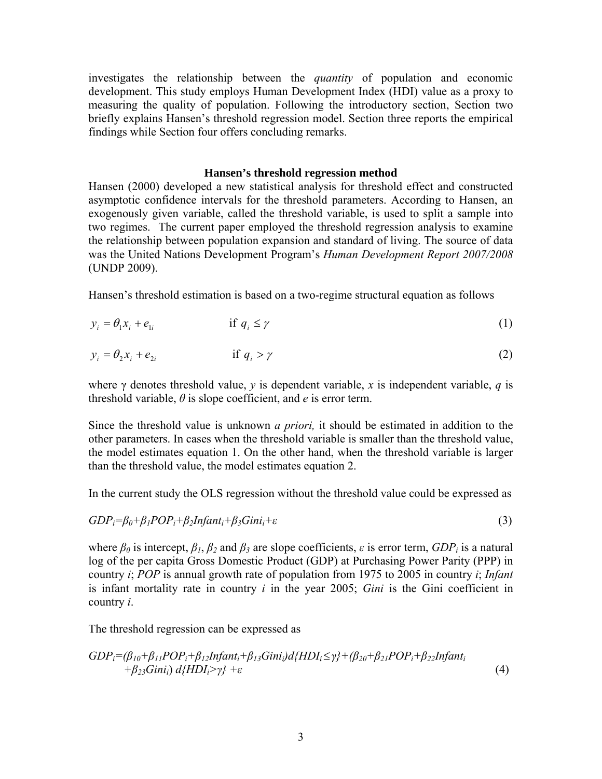investigates the relationship between the *quantity* of population and economic development. This study employs Human Development Index (HDI) value as a proxy to measuring the quality of population. Following the introductory section, Section two briefly explains Hansen's threshold regression model. Section three reports the empirical findings while Section four offers concluding remarks.

#### **Hansen's threshold regression method**

Hansen (2000) developed a new statistical analysis for threshold effect and constructed asymptotic confidence intervals for the threshold parameters. According to Hansen, an exogenously given variable, called the threshold variable, is used to split a sample into two regimes. The current paper employed the threshold regression analysis to examine the relationship between population expansion and standard of living. The source of data was the United Nations Development Program's *Human Development Report 2007/2008*  (UNDP 2009).

Hansen's threshold estimation is based on a two-regime structural equation as follows

$$
y_i = \theta_1 x_i + e_{1i} \qquad \qquad \text{if } q_i \le \gamma \tag{1}
$$

$$
y_i = \theta_2 x_i + e_{2i} \qquad \qquad \text{if } q_i > \gamma \tag{2}
$$

where γ denotes threshold value, *y* is dependent variable, *x* is independent variable, *q* is threshold variable, *θ* is slope coefficient, and *e* is error term.

Since the threshold value is unknown *a priori,* it should be estimated in addition to the other parameters. In cases when the threshold variable is smaller than the threshold value, the model estimates equation 1. On the other hand, when the threshold variable is larger than the threshold value, the model estimates equation 2.

In the current study the OLS regression without the threshold value could be expressed as

$$
GDP_i = \beta_0 + \beta_1 POP_i + \beta_2 Infant_i + \beta_3 Gini_i + \varepsilon
$$
\n(3)

where  $\beta_0$  is intercept,  $\beta_1$ ,  $\beta_2$  and  $\beta_3$  are slope coefficients,  $\varepsilon$  is error term,  $GDP_i$  is a natural log of the per capita Gross Domestic Product (GDP) at Purchasing Power Parity (PPP) in country *i*; *POP* is annual growth rate of population from 1975 to 2005 in country *i*; *Infant*  is infant mortality rate in country *i* in the year 2005; *Gini* is the Gini coefficient in country *i*.

The threshold regression can be expressed as

$$
GDPi=(\beta_{10}+\beta_{11}POP_i+\beta_{12} Infanti_i+\beta_{13} Gini_i)d\{HDIi \leq \gamma\}+(\beta_{20}+\beta_{21} POP_i+\beta_{22} Infanti_i+\beta_{23} Gini_i)d\{HDIi > \gamma\} + \varepsilon
$$
\n(4)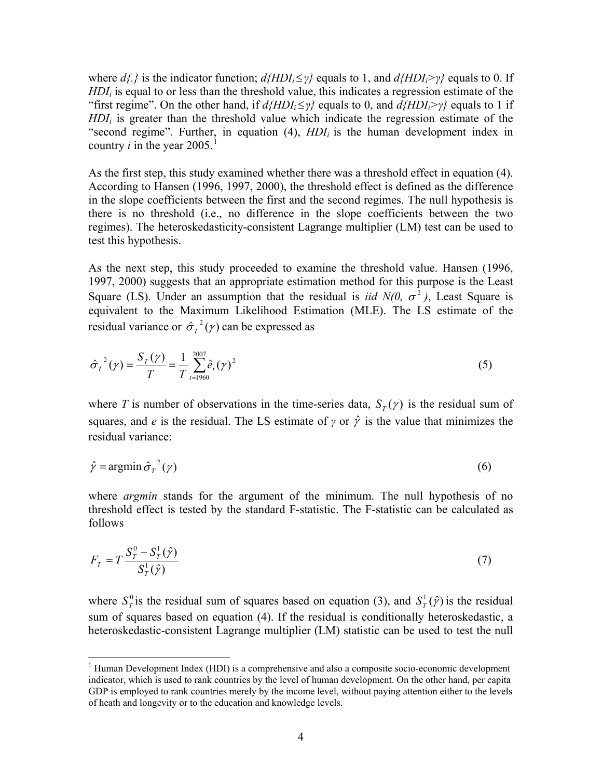where *d{.}* is the indicator function; *d{HDIi*≤*γ}* equals to 1, and *d{HDIi>γ}* equals to 0. If *HDI<sub>i</sub>* is equal to or less than the threshold value, this indicates a regression estimate of the "first regime". On the other hand, if  $d$ {*HDI*<sub>*i*</sub> $\leq$ *γ*} equals to 0, and  $d$ {*HDI*<sub>*i*</sub> $>$ *γ*} equals to 1 if *HDI<sub>i</sub>* is greater than the threshold value which indicate the regression estimate of the "second regime". Further, in equation  $(4)$ ,  $HDI<sub>i</sub>$  is the human development index in country *i* in the year  $2005$ .<sup>[1](#page-4-0)</sup>

As the first step, this study examined whether there was a threshold effect in equation (4). According to Hansen (1996, 1997, 2000), the threshold effect is defined as the difference in the slope coefficients between the first and the second regimes. The null hypothesis is there is no threshold (i.e., no difference in the slope coefficients between the two regimes). The heteroskedasticity-consistent Lagrange multiplier (LM) test can be used to test this hypothesis.

As the next step, this study proceeded to examine the threshold value. Hansen (1996, 1997, 2000) suggests that an appropriate estimation method for this purpose is the Least Square (LS). Under an assumption that the residual is *iid*  $N(0, \sigma^2)$ , Least Square is equivalent to the Maximum Likelihood Estimation (MLE). The LS estimate of the residual variance or  $\hat{\sigma}_r^2(\gamma)$  can be expressed as

$$
\hat{\sigma}_T^2(\gamma) = \frac{S_T(\gamma)}{T} = \frac{1}{T} \sum_{t=1960}^{2007} \hat{e}_t(\gamma)^2
$$
\n(5)

where *T* is number of observations in the time-series data,  $S_T(y)$  is the residual sum of squares, and *e* is the residual. The LS estimate of *γ* or  $\hat{\gamma}$  is the value that minimizes the residual variance:

$$
\hat{\gamma} = \operatorname{argmin} \hat{\sigma}_T^{-2}(\gamma) \tag{6}
$$

where *argmin* stands for the argument of the minimum. The null hypothesis of no threshold effect is tested by the standard F-statistic. The F-statistic can be calculated as follows

$$
F_T = T \frac{S_T^0 - S_T^1(\hat{\gamma})}{S_T^1(\hat{\gamma})}
$$
\n(7)

where  $S_T^0$  is the residual sum of squares based on equation (3), and  $S_T^1(\hat{\gamma})$  is the residual sum of squares based on equation (4). If the residual is conditionally heteroskedastic, a heteroskedastic-consistent Lagrange multiplier (LM) statistic can be used to test the null

<span id="page-4-0"></span> 1 Human Development Index (HDI) is a comprehensive and also a composite socio-economic development indicator, which is used to rank countries by the level of human development. On the other hand, per capita GDP is employed to rank countries merely by the income level, without paying attention either to the levels of heath and longevity or to the education and knowledge levels.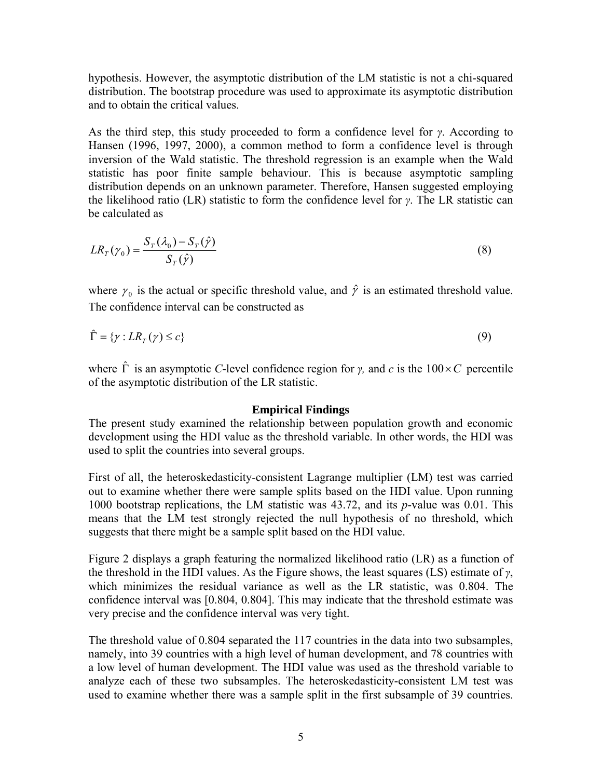hypothesis. However, the asymptotic distribution of the LM statistic is not a chi-squared distribution. The bootstrap procedure was used to approximate its asymptotic distribution and to obtain the critical values.

As the third step, this study proceeded to form a confidence level for *γ*. According to Hansen (1996, 1997, 2000), a common method to form a confidence level is through inversion of the Wald statistic. The threshold regression is an example when the Wald statistic has poor finite sample behaviour. This is because asymptotic sampling distribution depends on an unknown parameter. Therefore, Hansen suggested employing the likelihood ratio (LR) statistic to form the confidence level for *γ*. The LR statistic can be calculated as

$$
LR_T(\gamma_0) = \frac{S_T(\lambda_0) - S_T(\hat{\gamma})}{S_T(\hat{\gamma})}
$$
\n(8)

where  $\gamma_0$  is the actual or specific threshold value, and  $\hat{\gamma}$  is an estimated threshold value. The confidence interval can be constructed as

$$
\hat{\Gamma} = \{ \gamma : LR_T(\gamma) \le c \} \tag{9}
$$

where  $\hat{\Gamma}$  is an asymptotic *C*-level confidence region for *γ*, and *c* is the  $100 \times C$  percentile of the asymptotic distribution of the LR statistic.

#### **Empirical Findings**

The present study examined the relationship between population growth and economic development using the HDI value as the threshold variable. In other words, the HDI was used to split the countries into several groups.

First of all, the heteroskedasticity-consistent Lagrange multiplier (LM) test was carried out to examine whether there were sample splits based on the HDI value. Upon running 1000 bootstrap replications, the LM statistic was 43.72, and its *p*-value was 0.01. This means that the LM test strongly rejected the null hypothesis of no threshold, which suggests that there might be a sample split based on the HDI value.

Figure 2 displays a graph featuring the normalized likelihood ratio (LR) as a function of the threshold in the HDI values. As the Figure shows, the least squares (LS) estimate of *γ*, which minimizes the residual variance as well as the LR statistic, was 0.804. The confidence interval was [0.804, 0.804]. This may indicate that the threshold estimate was very precise and the confidence interval was very tight.

The threshold value of 0.804 separated the 117 countries in the data into two subsamples, namely, into 39 countries with a high level of human development, and 78 countries with a low level of human development. The HDI value was used as the threshold variable to analyze each of these two subsamples. The heteroskedasticity-consistent LM test was used to examine whether there was a sample split in the first subsample of 39 countries.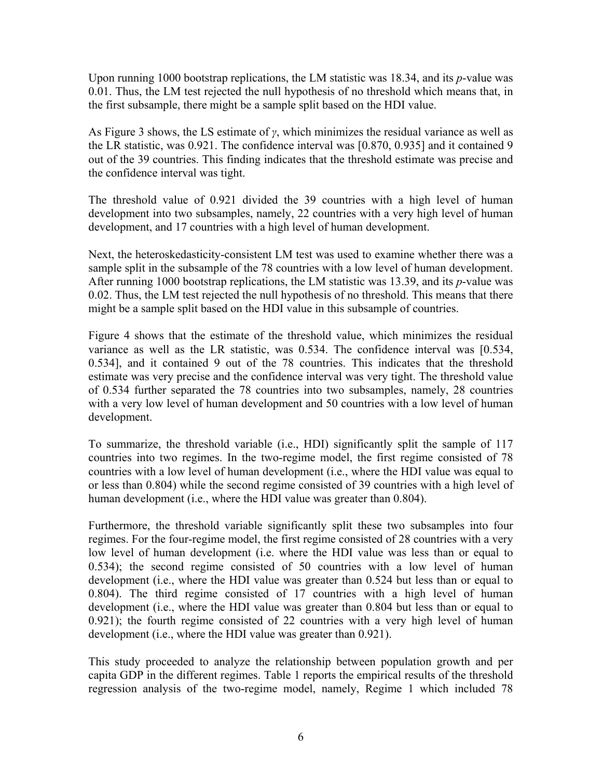Upon running 1000 bootstrap replications, the LM statistic was 18.34, and its *p*-value was 0.01. Thus, the LM test rejected the null hypothesis of no threshold which means that, in the first subsample, there might be a sample split based on the HDI value.

As Figure 3 shows, the LS estimate of *γ*, which minimizes the residual variance as well as the LR statistic, was 0.921. The confidence interval was [0.870, 0.935] and it contained 9 out of the 39 countries. This finding indicates that the threshold estimate was precise and the confidence interval was tight.

The threshold value of 0.921 divided the 39 countries with a high level of human development into two subsamples, namely, 22 countries with a very high level of human development, and 17 countries with a high level of human development.

Next, the heteroskedasticity-consistent LM test was used to examine whether there was a sample split in the subsample of the 78 countries with a low level of human development. After running 1000 bootstrap replications, the LM statistic was 13.39, and its *p*-value was 0.02. Thus, the LM test rejected the null hypothesis of no threshold. This means that there might be a sample split based on the HDI value in this subsample of countries.

Figure 4 shows that the estimate of the threshold value, which minimizes the residual variance as well as the LR statistic, was 0.534. The confidence interval was [0.534, 0.534], and it contained 9 out of the 78 countries. This indicates that the threshold estimate was very precise and the confidence interval was very tight. The threshold value of 0.534 further separated the 78 countries into two subsamples, namely, 28 countries with a very low level of human development and 50 countries with a low level of human development.

To summarize, the threshold variable (i.e., HDI) significantly split the sample of 117 countries into two regimes. In the two-regime model, the first regime consisted of 78 countries with a low level of human development (i.e., where the HDI value was equal to or less than 0.804) while the second regime consisted of 39 countries with a high level of human development (i.e., where the HDI value was greater than 0.804).

Furthermore, the threshold variable significantly split these two subsamples into four regimes. For the four-regime model, the first regime consisted of 28 countries with a very low level of human development (i.e. where the HDI value was less than or equal to 0.534); the second regime consisted of 50 countries with a low level of human development (i.e., where the HDI value was greater than 0.524 but less than or equal to 0.804). The third regime consisted of 17 countries with a high level of human development (i.e., where the HDI value was greater than 0.804 but less than or equal to 0.921); the fourth regime consisted of 22 countries with a very high level of human development (i.e., where the HDI value was greater than 0.921).

This study proceeded to analyze the relationship between population growth and per capita GDP in the different regimes. Table 1 reports the empirical results of the threshold regression analysis of the two-regime model, namely, Regime 1 which included 78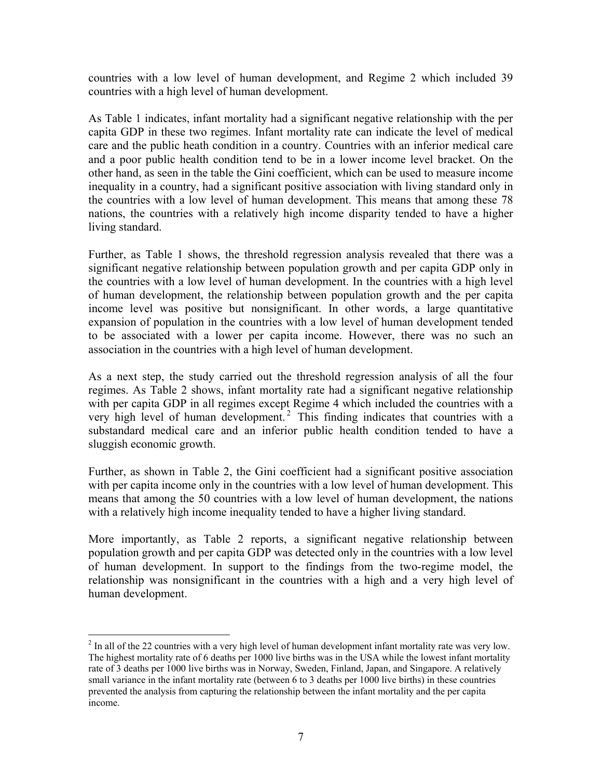countries with a low level of human development, and Regime 2 which included 39 countries with a high level of human development.

As Table 1 indicates, infant mortality had a significant negative relationship with the per capita GDP in these two regimes. Infant mortality rate can indicate the level of medical care and the public heath condition in a country. Countries with an inferior medical care and a poor public health condition tend to be in a lower income level bracket. On the other hand, as seen in the table the Gini coefficient, which can be used to measure income inequality in a country, had a significant positive association with living standard only in the countries with a low level of human development. This means that among these 78 nations, the countries with a relatively high income disparity tended to have a higher living standard.

Further, as Table 1 shows, the threshold regression analysis revealed that there was a significant negative relationship between population growth and per capita GDP only in the countries with a low level of human development. In the countries with a high level of human development, the relationship between population growth and the per capita income level was positive but nonsignificant. In other words, a large quantitative expansion of population in the countries with a low level of human development tended to be associated with a lower per capita income. However, there was no such an association in the countries with a high level of human development.

As a next step, the study carried out the threshold regression analysis of all the four regimes. As Table 2 shows, infant mortality rate had a significant negative relationship with per capita GDP in all regimes except Regime 4 which included the countries with a very high level of human development.<sup>[2](#page-7-0)</sup> This finding indicates that countries with a substandard medical care and an inferior public health condition tended to have a sluggish economic growth.

Further, as shown in Table 2, the Gini coefficient had a significant positive association with per capita income only in the countries with a low level of human development. This means that among the 50 countries with a low level of human development, the nations with a relatively high income inequality tended to have a higher living standard.

More importantly, as Table 2 reports, a significant negative relationship between population growth and per capita GDP was detected only in the countries with a low level of human development. In support to the findings from the two-regime model, the relationship was nonsignificant in the countries with a high and a very high level of human development.

 $\overline{a}$ 

<span id="page-7-0"></span> $2^{2}$  In all of the 22 countries with a very high level of human development infant mortality rate was very low. The highest mortality rate of 6 deaths per 1000 live births was in the USA while the lowest infant mortality rate of 3 deaths per 1000 live births was in Norway, Sweden, Finland, Japan, and Singapore. A relatively small variance in the infant mortality rate (between 6 to 3 deaths per 1000 live births) in these countries prevented the analysis from capturing the relationship between the infant mortality and the per capita income.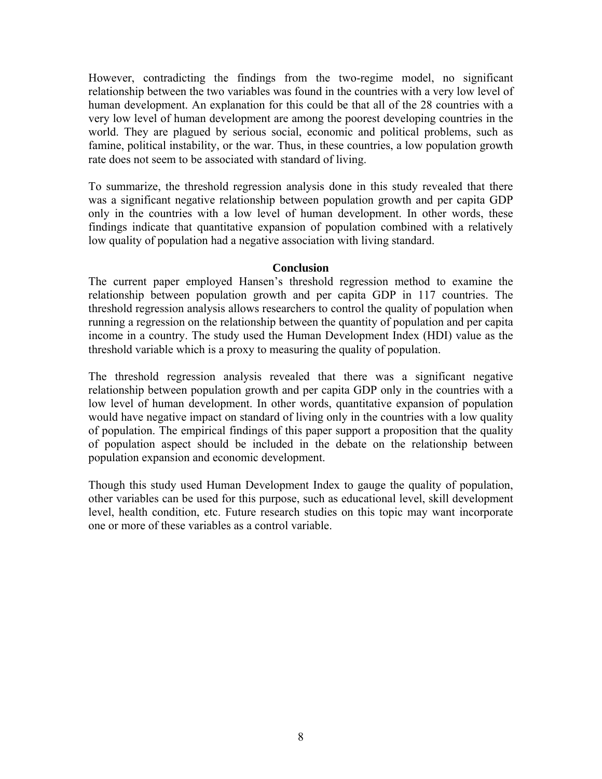However, contradicting the findings from the two-regime model, no significant relationship between the two variables was found in the countries with a very low level of human development. An explanation for this could be that all of the 28 countries with a very low level of human development are among the poorest developing countries in the world. They are plagued by serious social, economic and political problems, such as famine, political instability, or the war. Thus, in these countries, a low population growth rate does not seem to be associated with standard of living.

To summarize, the threshold regression analysis done in this study revealed that there was a significant negative relationship between population growth and per capita GDP only in the countries with a low level of human development. In other words, these findings indicate that quantitative expansion of population combined with a relatively low quality of population had a negative association with living standard.

#### **Conclusion**

The current paper employed Hansen's threshold regression method to examine the relationship between population growth and per capita GDP in 117 countries. The threshold regression analysis allows researchers to control the quality of population when running a regression on the relationship between the quantity of population and per capita income in a country. The study used the Human Development Index (HDI) value as the threshold variable which is a proxy to measuring the quality of population.

The threshold regression analysis revealed that there was a significant negative relationship between population growth and per capita GDP only in the countries with a low level of human development. In other words, quantitative expansion of population would have negative impact on standard of living only in the countries with a low quality of population. The empirical findings of this paper support a proposition that the quality of population aspect should be included in the debate on the relationship between population expansion and economic development.

Though this study used Human Development Index to gauge the quality of population, other variables can be used for this purpose, such as educational level, skill development level, health condition, etc. Future research studies on this topic may want incorporate one or more of these variables as a control variable.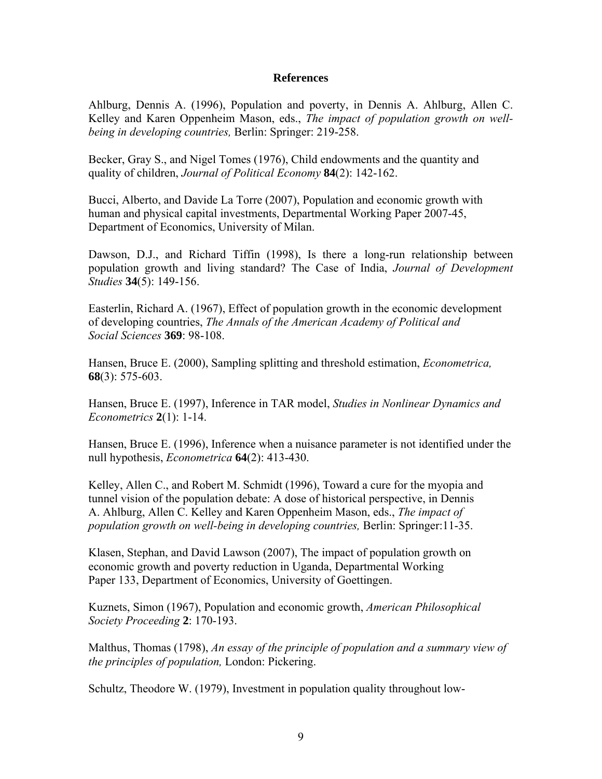#### **References**

Ahlburg, Dennis A. (1996), Population and poverty, in Dennis A. Ahlburg, Allen C. Kelley and Karen Oppenheim Mason, eds., *The impact of population growth on wellbeing in developing countries,* Berlin: Springer: 219-258.

Becker, Gray S., and Nigel Tomes (1976), Child endowments and the quantity and quality of children, *Journal of Political Economy* **84**(2): 142-162.

Bucci, Alberto, and Davide La Torre (2007), Population and economic growth with human and physical capital investments, Departmental Working Paper 2007-45, Department of Economics, University of Milan.

Dawson, D.J., and Richard Tiffin (1998), Is there a long-run relationship between population growth and living standard? The Case of India, *Journal of Development Studies* **34**(5): 149-156.

Easterlin, Richard A. (1967), Effect of population growth in the economic development of developing countries, *The Annals of the American Academy of Political and Social Sciences* **369**: 98-108.

Hansen, Bruce E. (2000), Sampling splitting and threshold estimation, *Econometrica,*  **68**(3): 575-603.

Hansen, Bruce E. (1997), Inference in TAR model, *Studies in Nonlinear Dynamics and Econometrics* **2**(1): 1-14.

Hansen, Bruce E. (1996), Inference when a nuisance parameter is not identified under the null hypothesis, *Econometrica* **64**(2): 413-430.

Kelley, Allen C., and Robert M. Schmidt (1996), Toward a cure for the myopia and tunnel vision of the population debate: A dose of historical perspective, in Dennis A. Ahlburg, Allen C. Kelley and Karen Oppenheim Mason, eds., *The impact of population growth on well-being in developing countries,* Berlin: Springer:11-35.

Klasen, Stephan, and David Lawson (2007), The impact of population growth on economic growth and poverty reduction in Uganda, Departmental Working Paper 133, Department of Economics, University of Goettingen.

Kuznets, Simon (1967), Population and economic growth, *American Philosophical Society Proceeding* **2**: 170-193.

Malthus, Thomas (1798), *An essay of the principle of population and a summary view of the principles of population,* London: Pickering.

Schultz, Theodore W. (1979), Investment in population quality throughout low-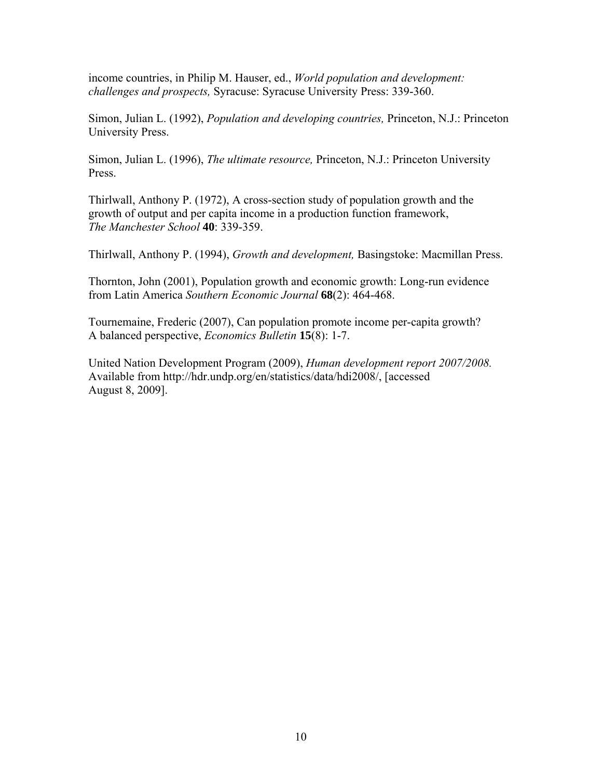income countries, in Philip M. Hauser, ed., *World population and development: challenges and prospects,* Syracuse: Syracuse University Press: 339-360.

Simon, Julian L. (1992), *Population and developing countries,* Princeton, N.J.: Princeton University Press.

Simon, Julian L. (1996), *The ultimate resource,* Princeton, N.J.: Princeton University Press.

Thirlwall, Anthony P. (1972), A cross-section study of population growth and the growth of output and per capita income in a production function framework, *The Manchester School* **40**: 339-359.

Thirlwall, Anthony P. (1994), *Growth and development,* Basingstoke: Macmillan Press.

Thornton, John (2001), Population growth and economic growth: Long-run evidence from Latin America *Southern Economic Journal* **68**(2): 464-468.

Tournemaine, Frederic (2007), Can population promote income per-capita growth? A balanced perspective, *Economics Bulletin* **15**(8): 1-7.

United Nation Development Program (2009), *Human development report 2007/2008.* Available from http://hdr.undp.org/en/statistics/data/hdi2008/, [accessed August 8, 2009].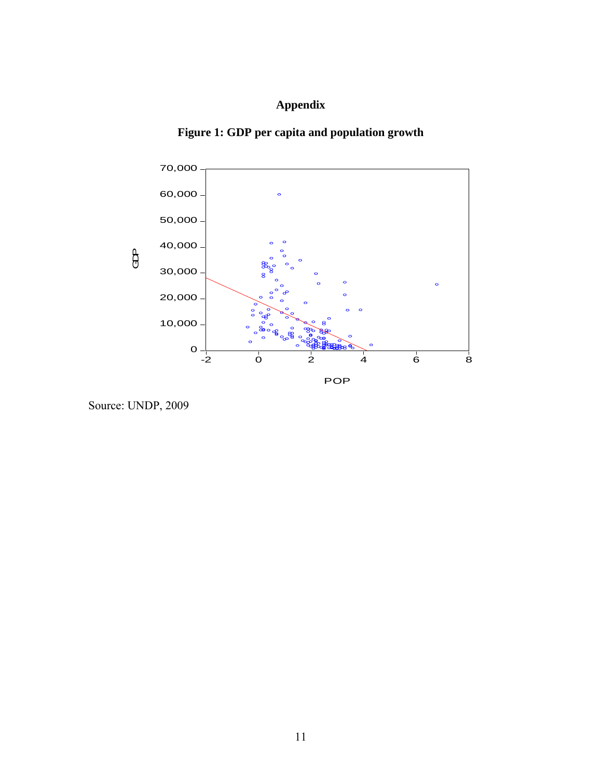# **Appendix**





Source: UNDP, 2009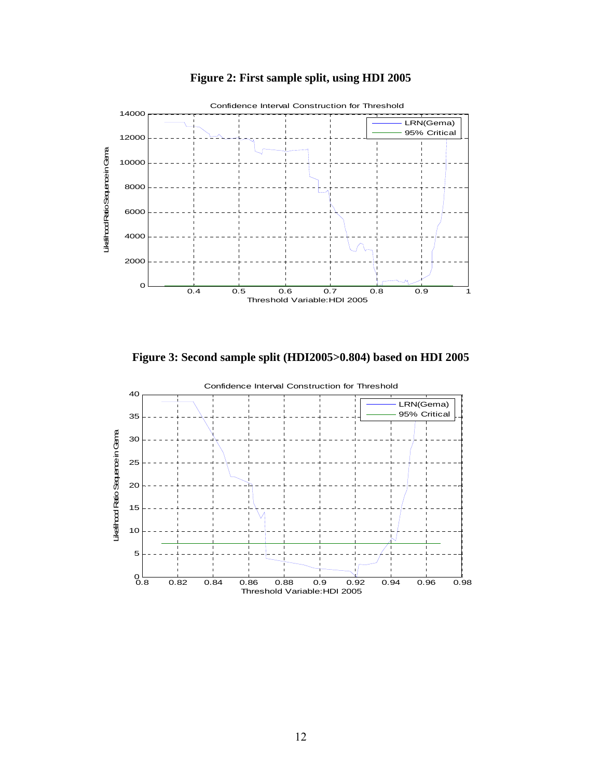

**Figure 2: First sample split, using HDI 2005** 

**Figure 3: Second sample split (HDI2005>0.804) based on HDI 2005** 

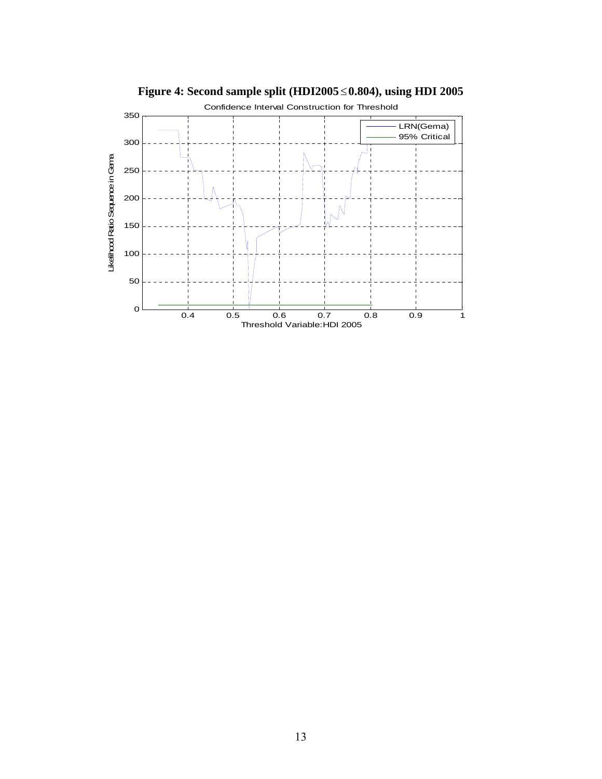

**Figure 4: Second sample split (HDI2005**≤**0.804), using HDI 2005**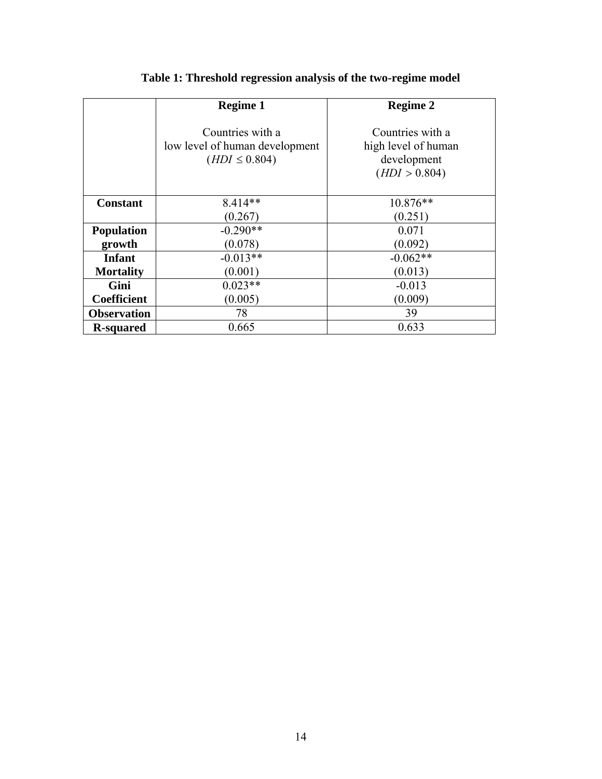|                    | <b>Regime 1</b>                                                         | <b>Regime 2</b>                                                         |
|--------------------|-------------------------------------------------------------------------|-------------------------------------------------------------------------|
|                    | Countries with a<br>low level of human development<br>$(HDI \le 0.804)$ | Countries with a<br>high level of human<br>development<br>(HDI > 0.804) |
| <b>Constant</b>    | $8.414**$<br>(0.267)                                                    | $10.876**$<br>(0.251)                                                   |
| <b>Population</b>  | $-0.290**$                                                              | 0.071                                                                   |
| growth             | (0.078)                                                                 | (0.092)                                                                 |
| <b>Infant</b>      | $-0.013**$                                                              | $-0.062**$                                                              |
| <b>Mortality</b>   | (0.001)                                                                 | (0.013)                                                                 |
| Gini               | $0.023**$                                                               | $-0.013$                                                                |
| <b>Coefficient</b> | (0.005)                                                                 | (0.009)                                                                 |
| <b>Observation</b> | 78                                                                      | 39                                                                      |
| <b>R-squared</b>   | 0.665                                                                   | 0.633                                                                   |

# **Table 1: Threshold regression analysis of the two-regime model**